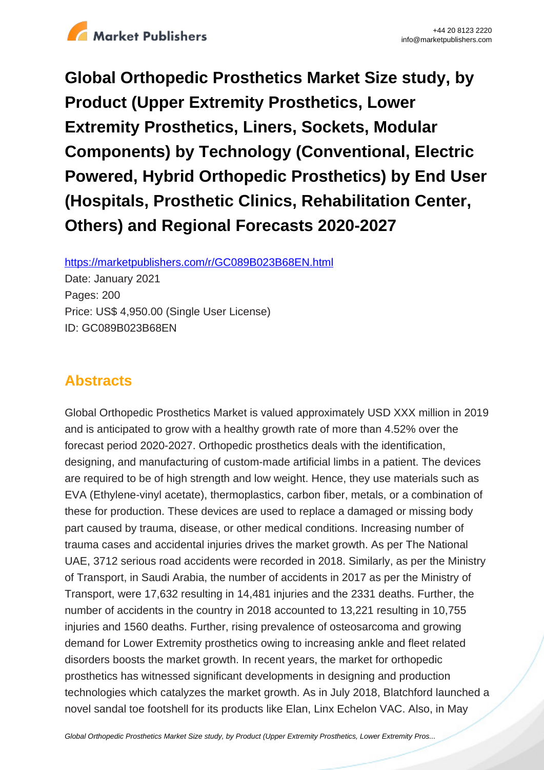

**Global Orthopedic Prosthetics Market Size study, by Product (Upper Extremity Prosthetics, Lower Extremity Prosthetics, Liners, Sockets, Modular Components) by Technology (Conventional, Electric Powered, Hybrid Orthopedic Prosthetics) by End User (Hospitals, Prosthetic Clinics, Rehabilitation Center, Others) and Regional Forecasts 2020-2027**

https://marketpublishers.com/r/GC089B023B68EN.html

Date: January 2021 Pages: 200 Price: US\$ 4,950.00 (Single User License) ID: GC089B023B68EN

# **Abstracts**

Global Orthopedic Prosthetics Market is valued approximately USD XXX million in 2019 and is anticipated to grow with a healthy growth rate of more than 4.52% over the forecast period 2020-2027. Orthopedic prosthetics deals with the identification, designing, and manufacturing of custom-made artificial limbs in a patient. The devices are required to be of high strength and low weight. Hence, they use materials such as EVA (Ethylene-vinyl acetate), thermoplastics, carbon fiber, metals, or a combination of these for production. These devices are used to replace a damaged or missing body part caused by trauma, disease, or other medical conditions. Increasing number of trauma cases and accidental injuries drives the market growth. As per The National UAE, 3712 serious road accidents were recorded in 2018. Similarly, as per the Ministry of Transport, in Saudi Arabia, the number of accidents in 2017 as per the Ministry of Transport, were 17,632 resulting in 14,481 injuries and the 2331 deaths. Further, the number of accidents in the country in 2018 accounted to 13,221 resulting in 10,755 injuries and 1560 deaths. Further, rising prevalence of osteosarcoma and growing demand for Lower Extremity prosthetics owing to increasing ankle and fleet related disorders boosts the market growth. In recent years, the market for orthopedic prosthetics has witnessed significant developments in designing and production technologies which catalyzes the market growth. As in July 2018, Blatchford launched a novel sandal toe footshell for its products like Elan, Linx Echelon VAC. Also, in May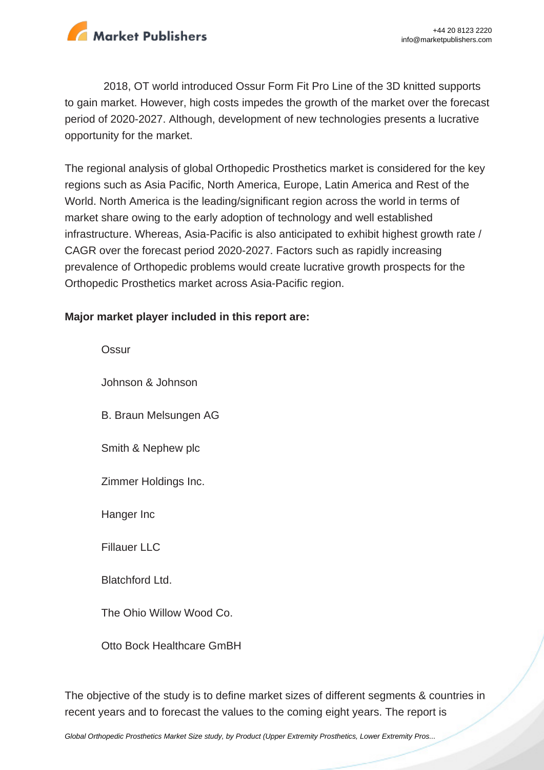

2018, OT world introduced Ossur Form Fit Pro Line of the 3D knitted supports to gain market. However, high costs impedes the growth of the market over the forecast period of 2020-2027. Although, development of new technologies presents a lucrative opportunity for the market.

The regional analysis of global Orthopedic Prosthetics market is considered for the key regions such as Asia Pacific, North America, Europe, Latin America and Rest of the World. North America is the leading/significant region across the world in terms of market share owing to the early adoption of technology and well established infrastructure. Whereas, Asia-Pacific is also anticipated to exhibit highest growth rate / CAGR over the forecast period 2020-2027. Factors such as rapidly increasing prevalence of Orthopedic problems would create lucrative growth prospects for the Orthopedic Prosthetics market across Asia-Pacific region.

### **Major market player included in this report are:**

**Ossur** 

Johnson & Johnson

B. Braun Melsungen AG

Smith & Nephew plc

Zimmer Holdings Inc.

Hanger Inc

Fillauer LLC

Blatchford Ltd.

The Ohio Willow Wood Co.

Otto Bock Healthcare GmBH

The objective of the study is to define market sizes of different segments & countries in recent years and to forecast the values to the coming eight years. The report is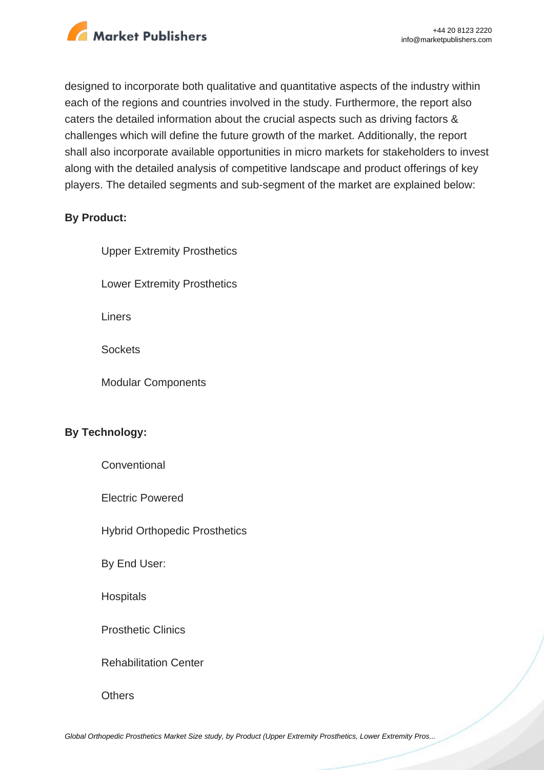

designed to incorporate both qualitative and quantitative aspects of the industry within each of the regions and countries involved in the study. Furthermore, the report also caters the detailed information about the crucial aspects such as driving factors & challenges which will define the future growth of the market. Additionally, the report shall also incorporate available opportunities in micro markets for stakeholders to invest along with the detailed analysis of competitive landscape and product offerings of key players. The detailed segments and sub-segment of the market are explained below:

## **By Product:**

Upper Extremity Prosthetics

Lower Extremity Prosthetics

Liners

**Sockets** 

Modular Components

### **By Technology:**

**Conventional** 

Electric Powered

Hybrid Orthopedic Prosthetics

By End User:

**Hospitals** 

Prosthetic Clinics

Rehabilitation Center

**Others**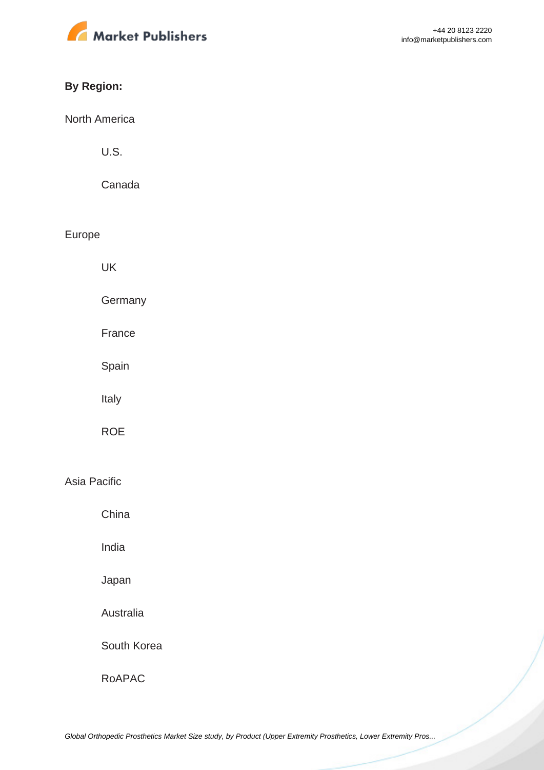

## **By Region:**

North America

U.S.

Canada

## Europe

UK

**Germany** 

France

Spain

Italy

ROE

#### Asia Pacific

China

India

Japan

Australia

South Korea

RoAPAC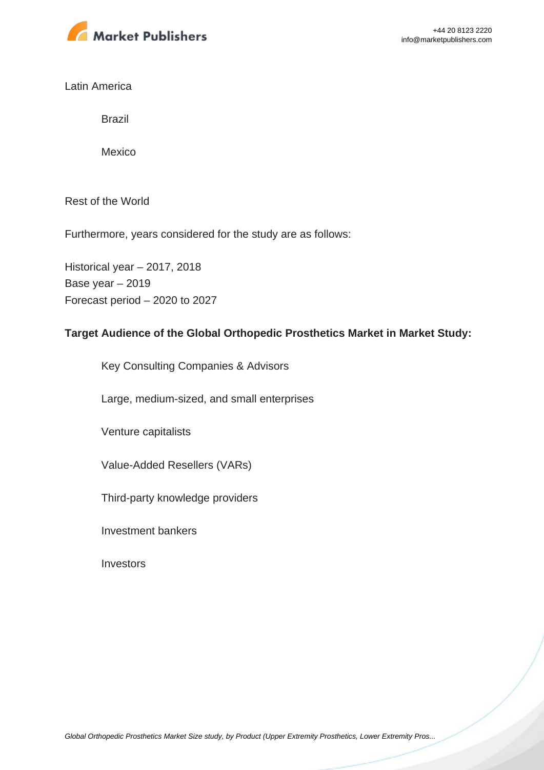

Latin America

Brazil

Mexico

Rest of the World

Furthermore, years considered for the study are as follows:

Historical year – 2017, 2018 Base year – 2019 Forecast period – 2020 to 2027

## **Target Audience of the Global Orthopedic Prosthetics Market in Market Study:**

Key Consulting Companies & Advisors

Large, medium-sized, and small enterprises

Venture capitalists

Value-Added Resellers (VARs)

Third-party knowledge providers

Investment bankers

Investors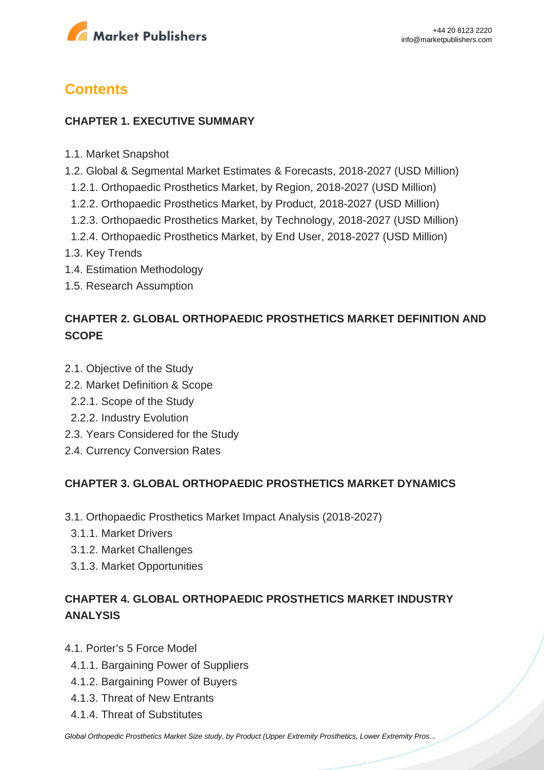

# **Contents**

#### **CHAPTER 1. EXECUTIVE SUMMARY**

- 1.1. Market Snapshot
- 1.2. Global & Segmental Market Estimates & Forecasts, 2018-2027 (USD Million)
- 1.2.1. Orthopaedic Prosthetics Market, by Region, 2018-2027 (USD Million)
- 1.2.2. Orthopaedic Prosthetics Market, by Product, 2018-2027 (USD Million)
- 1.2.3. Orthopaedic Prosthetics Market, by Technology, 2018-2027 (USD Million)
- 1.2.4. Orthopaedic Prosthetics Market, by End User, 2018-2027 (USD Million)
- 1.3. Key Trends
- 1.4. Estimation Methodology
- 1.5. Research Assumption

# **CHAPTER 2. GLOBAL ORTHOPAEDIC PROSTHETICS MARKET DEFINITION AND SCOPE**

- 2.1. Objective of the Study
- 2.2. Market Definition & Scope
- 2.2.1. Scope of the Study
- 2.2.2. Industry Evolution
- 2.3. Years Considered for the Study
- 2.4. Currency Conversion Rates

### **CHAPTER 3. GLOBAL ORTHOPAEDIC PROSTHETICS MARKET DYNAMICS**

- 3.1. Orthopaedic Prosthetics Market Impact Analysis (2018-2027)
	- 3.1.1. Market Drivers
	- 3.1.2. Market Challenges
	- 3.1.3. Market Opportunities

# **CHAPTER 4. GLOBAL ORTHOPAEDIC PROSTHETICS MARKET INDUSTRY ANALYSIS**

- 4.1. Porter's 5 Force Model
	- 4.1.1. Bargaining Power of Suppliers
	- 4.1.2. Bargaining Power of Buyers
	- 4.1.3. Threat of New Entrants
	- 4.1.4. Threat of Substitutes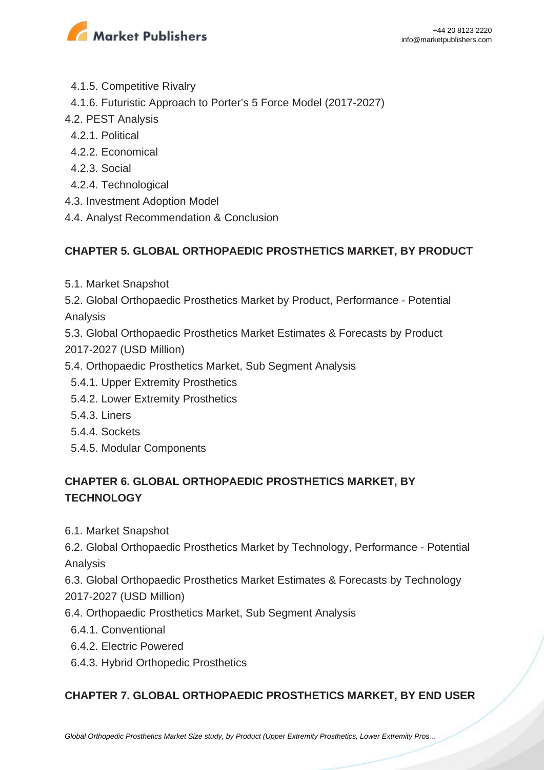

- 4.1.5. Competitive Rivalry
- 4.1.6. Futuristic Approach to Porter's 5 Force Model (2017-2027)
- 4.2. PEST Analysis
	- 4.2.1. Political
	- 4.2.2. Economical
	- 4.2.3. Social
	- 4.2.4. Technological
- 4.3. Investment Adoption Model
- 4.4. Analyst Recommendation & Conclusion

# **CHAPTER 5. GLOBAL ORTHOPAEDIC PROSTHETICS MARKET, BY PRODUCT**

5.1. Market Snapshot

5.2. Global Orthopaedic Prosthetics Market by Product, Performance - Potential Analysis

- 5.3. Global Orthopaedic Prosthetics Market Estimates & Forecasts by Product 2017-2027 (USD Million)
- 5.4. Orthopaedic Prosthetics Market, Sub Segment Analysis
- 5.4.1. Upper Extremity Prosthetics
- 5.4.2. Lower Extremity Prosthetics
- 5.4.3. Liners
- 5.4.4. Sockets
- 5.4.5. Modular Components

# **CHAPTER 6. GLOBAL ORTHOPAEDIC PROSTHETICS MARKET, BY TECHNOLOGY**

6.1. Market Snapshot

6.2. Global Orthopaedic Prosthetics Market by Technology, Performance - Potential Analysis

6.3. Global Orthopaedic Prosthetics Market Estimates & Forecasts by Technology 2017-2027 (USD Million)

- 6.4. Orthopaedic Prosthetics Market, Sub Segment Analysis
	- 6.4.1. Conventional
	- 6.4.2. Electric Powered
	- 6.4.3. Hybrid Orthopedic Prosthetics

# **CHAPTER 7. GLOBAL ORTHOPAEDIC PROSTHETICS MARKET, BY END USER**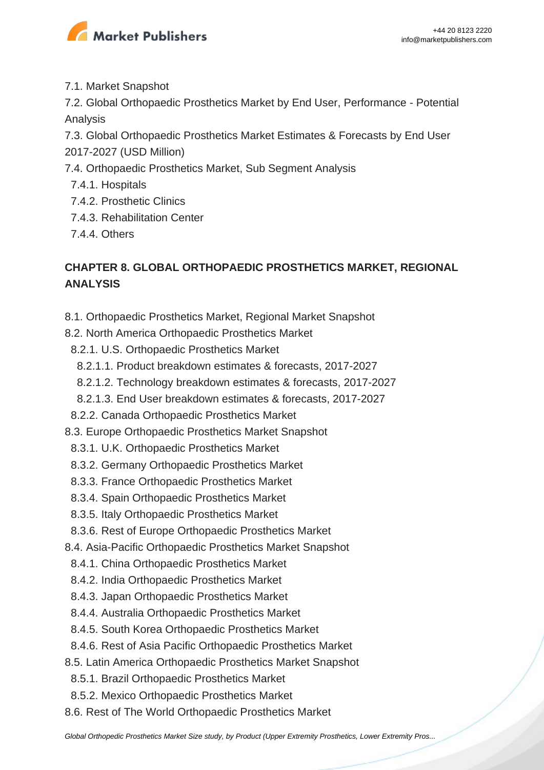

7.1. Market Snapshot

7.2. Global Orthopaedic Prosthetics Market by End User, Performance - Potential Analysis

7.3. Global Orthopaedic Prosthetics Market Estimates & Forecasts by End User 2017-2027 (USD Million)

7.4. Orthopaedic Prosthetics Market, Sub Segment Analysis

- 7.4.1. Hospitals
- 7.4.2. Prosthetic Clinics
- 7.4.3. Rehabilitation Center
- 7.4.4. Others

# **CHAPTER 8. GLOBAL ORTHOPAEDIC PROSTHETICS MARKET, REGIONAL ANALYSIS**

- 8.1. Orthopaedic Prosthetics Market, Regional Market Snapshot
- 8.2. North America Orthopaedic Prosthetics Market
	- 8.2.1. U.S. Orthopaedic Prosthetics Market
		- 8.2.1.1. Product breakdown estimates & forecasts, 2017-2027
		- 8.2.1.2. Technology breakdown estimates & forecasts, 2017-2027
	- 8.2.1.3. End User breakdown estimates & forecasts, 2017-2027
- 8.2.2. Canada Orthopaedic Prosthetics Market
- 8.3. Europe Orthopaedic Prosthetics Market Snapshot
	- 8.3.1. U.K. Orthopaedic Prosthetics Market
	- 8.3.2. Germany Orthopaedic Prosthetics Market
	- 8.3.3. France Orthopaedic Prosthetics Market
	- 8.3.4. Spain Orthopaedic Prosthetics Market
	- 8.3.5. Italy Orthopaedic Prosthetics Market
- 8.3.6. Rest of Europe Orthopaedic Prosthetics Market
- 8.4. Asia-Pacific Orthopaedic Prosthetics Market Snapshot
	- 8.4.1. China Orthopaedic Prosthetics Market
	- 8.4.2. India Orthopaedic Prosthetics Market
	- 8.4.3. Japan Orthopaedic Prosthetics Market
	- 8.4.4. Australia Orthopaedic Prosthetics Market
	- 8.4.5. South Korea Orthopaedic Prosthetics Market
	- 8.4.6. Rest of Asia Pacific Orthopaedic Prosthetics Market
- 8.5. Latin America Orthopaedic Prosthetics Market Snapshot
	- 8.5.1. Brazil Orthopaedic Prosthetics Market
	- 8.5.2. Mexico Orthopaedic Prosthetics Market
- 8.6. Rest of The World Orthopaedic Prosthetics Market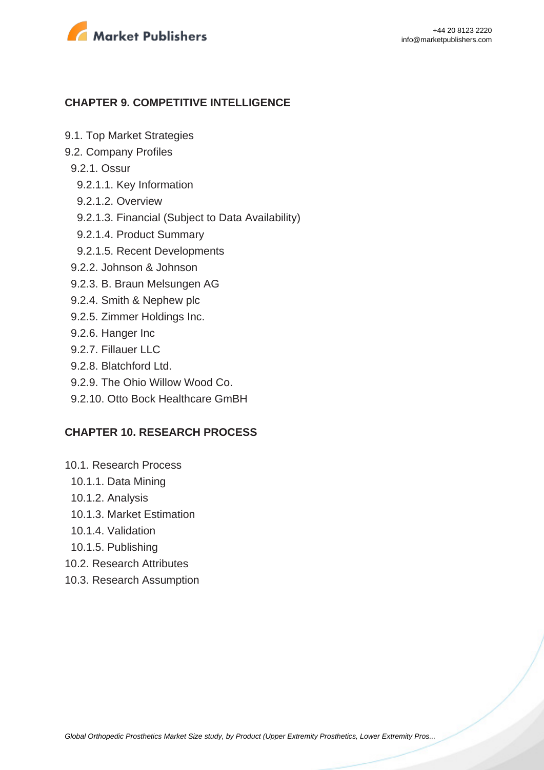

### **CHAPTER 9. COMPETITIVE INTELLIGENCE**

- 9.1. Top Market Strategies
- 9.2. Company Profiles
	- 9.2.1. Ossur
	- 9.2.1.1. Key Information
	- 9.2.1.2. Overview
	- 9.2.1.3. Financial (Subject to Data Availability)
	- 9.2.1.4. Product Summary
	- 9.2.1.5. Recent Developments
	- 9.2.2. Johnson & Johnson
	- 9.2.3. B. Braun Melsungen AG
	- 9.2.4. Smith & Nephew plc
	- 9.2.5. Zimmer Holdings Inc.
	- 9.2.6. Hanger Inc
	- 9.2.7. Fillauer LLC
	- 9.2.8. Blatchford Ltd.
	- 9.2.9. The Ohio Willow Wood Co.
	- 9.2.10. Otto Bock Healthcare GmBH

#### **CHAPTER 10. RESEARCH PROCESS**

- 10.1. Research Process
	- 10.1.1. Data Mining
	- 10.1.2. Analysis
	- 10.1.3. Market Estimation
	- 10.1.4. Validation
- 10.1.5. Publishing
- 10.2. Research Attributes
- 10.3. Research Assumption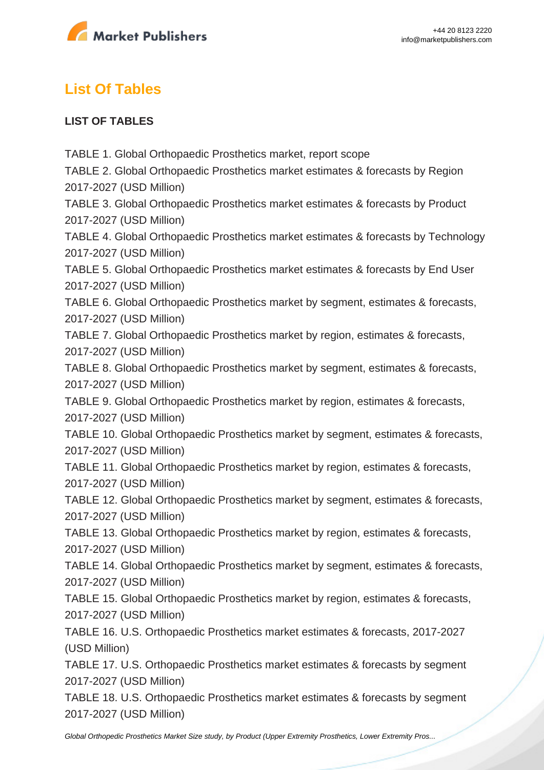

# **List Of Tables**

## **LIST OF TABLES**

TABLE 1. Global Orthopaedic Prosthetics market, report scope TABLE 2. Global Orthopaedic Prosthetics market estimates & forecasts by Region 2017-2027 (USD Million) TABLE 3. Global Orthopaedic Prosthetics market estimates & forecasts by Product 2017-2027 (USD Million) TABLE 4. Global Orthopaedic Prosthetics market estimates & forecasts by Technology 2017-2027 (USD Million) TABLE 5. Global Orthopaedic Prosthetics market estimates & forecasts by End User 2017-2027 (USD Million) TABLE 6. Global Orthopaedic Prosthetics market by segment, estimates & forecasts, 2017-2027 (USD Million) TABLE 7. Global Orthopaedic Prosthetics market by region, estimates & forecasts, 2017-2027 (USD Million) TABLE 8. Global Orthopaedic Prosthetics market by segment, estimates & forecasts, 2017-2027 (USD Million) TABLE 9. Global Orthopaedic Prosthetics market by region, estimates & forecasts, 2017-2027 (USD Million) TABLE 10. Global Orthopaedic Prosthetics market by segment, estimates & forecasts, 2017-2027 (USD Million) TABLE 11. Global Orthopaedic Prosthetics market by region, estimates & forecasts, 2017-2027 (USD Million) TABLE 12. Global Orthopaedic Prosthetics market by segment, estimates & forecasts, 2017-2027 (USD Million) TABLE 13. Global Orthopaedic Prosthetics market by region, estimates & forecasts, 2017-2027 (USD Million) TABLE 14. Global Orthopaedic Prosthetics market by segment, estimates & forecasts, 2017-2027 (USD Million) TABLE 15. Global Orthopaedic Prosthetics market by region, estimates & forecasts, 2017-2027 (USD Million) TABLE 16. U.S. Orthopaedic Prosthetics market estimates & forecasts, 2017-2027 (USD Million) TABLE 17. U.S. Orthopaedic Prosthetics market estimates & forecasts by segment 2017-2027 (USD Million) TABLE 18. U.S. Orthopaedic Prosthetics market estimates & forecasts by segment 2017-2027 (USD Million)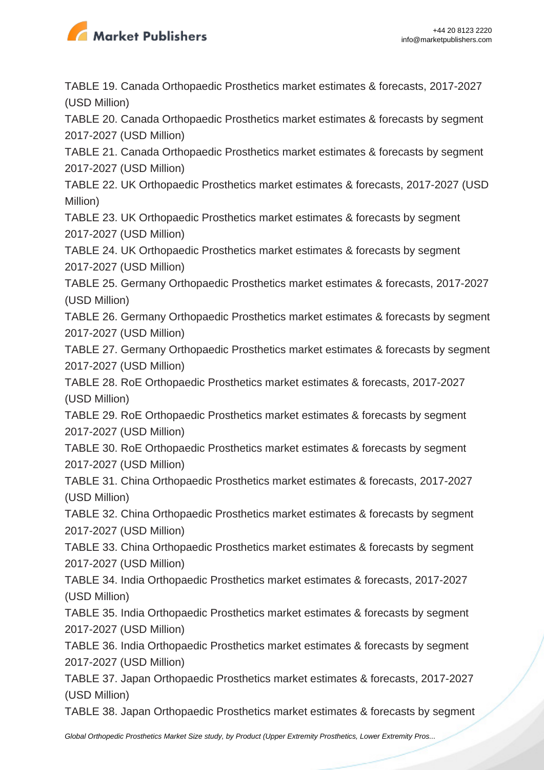

TABLE 19. Canada Orthopaedic Prosthetics market estimates & forecasts, 2017-2027 (USD Million)

TABLE 20. Canada Orthopaedic Prosthetics market estimates & forecasts by segment 2017-2027 (USD Million)

TABLE 21. Canada Orthopaedic Prosthetics market estimates & forecasts by segment 2017-2027 (USD Million)

TABLE 22. UK Orthopaedic Prosthetics market estimates & forecasts, 2017-2027 (USD Million)

TABLE 23. UK Orthopaedic Prosthetics market estimates & forecasts by segment 2017-2027 (USD Million)

TABLE 24. UK Orthopaedic Prosthetics market estimates & forecasts by segment 2017-2027 (USD Million)

TABLE 25. Germany Orthopaedic Prosthetics market estimates & forecasts, 2017-2027 (USD Million)

TABLE 26. Germany Orthopaedic Prosthetics market estimates & forecasts by segment 2017-2027 (USD Million)

TABLE 27. Germany Orthopaedic Prosthetics market estimates & forecasts by segment 2017-2027 (USD Million)

TABLE 28. RoE Orthopaedic Prosthetics market estimates & forecasts, 2017-2027 (USD Million)

TABLE 29. RoE Orthopaedic Prosthetics market estimates & forecasts by segment 2017-2027 (USD Million)

TABLE 30. RoE Orthopaedic Prosthetics market estimates & forecasts by segment 2017-2027 (USD Million)

TABLE 31. China Orthopaedic Prosthetics market estimates & forecasts, 2017-2027 (USD Million)

TABLE 32. China Orthopaedic Prosthetics market estimates & forecasts by segment 2017-2027 (USD Million)

TABLE 33. China Orthopaedic Prosthetics market estimates & forecasts by segment 2017-2027 (USD Million)

TABLE 34. India Orthopaedic Prosthetics market estimates & forecasts, 2017-2027 (USD Million)

TABLE 35. India Orthopaedic Prosthetics market estimates & forecasts by segment 2017-2027 (USD Million)

TABLE 36. India Orthopaedic Prosthetics market estimates & forecasts by segment 2017-2027 (USD Million)

TABLE 37. Japan Orthopaedic Prosthetics market estimates & forecasts, 2017-2027 (USD Million)

TABLE 38. Japan Orthopaedic Prosthetics market estimates & forecasts by segment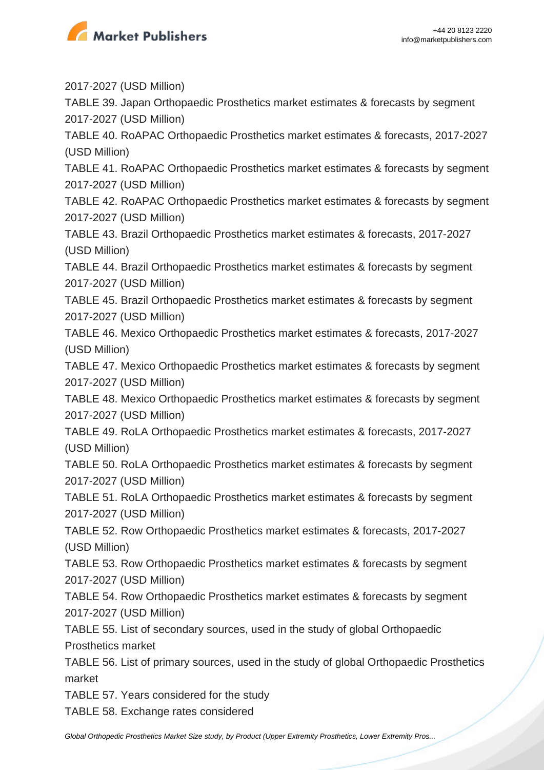

2017-2027 (USD Million)

TABLE 39. Japan Orthopaedic Prosthetics market estimates & forecasts by segment 2017-2027 (USD Million)

TABLE 40. RoAPAC Orthopaedic Prosthetics market estimates & forecasts, 2017-2027 (USD Million)

TABLE 41. RoAPAC Orthopaedic Prosthetics market estimates & forecasts by segment 2017-2027 (USD Million)

TABLE 42. RoAPAC Orthopaedic Prosthetics market estimates & forecasts by segment 2017-2027 (USD Million)

TABLE 43. Brazil Orthopaedic Prosthetics market estimates & forecasts, 2017-2027 (USD Million)

TABLE 44. Brazil Orthopaedic Prosthetics market estimates & forecasts by segment 2017-2027 (USD Million)

TABLE 45. Brazil Orthopaedic Prosthetics market estimates & forecasts by segment 2017-2027 (USD Million)

TABLE 46. Mexico Orthopaedic Prosthetics market estimates & forecasts, 2017-2027 (USD Million)

TABLE 47. Mexico Orthopaedic Prosthetics market estimates & forecasts by segment 2017-2027 (USD Million)

TABLE 48. Mexico Orthopaedic Prosthetics market estimates & forecasts by segment 2017-2027 (USD Million)

TABLE 49. RoLA Orthopaedic Prosthetics market estimates & forecasts, 2017-2027 (USD Million)

TABLE 50. RoLA Orthopaedic Prosthetics market estimates & forecasts by segment 2017-2027 (USD Million)

TABLE 51. RoLA Orthopaedic Prosthetics market estimates & forecasts by segment 2017-2027 (USD Million)

TABLE 52. Row Orthopaedic Prosthetics market estimates & forecasts, 2017-2027 (USD Million)

TABLE 53. Row Orthopaedic Prosthetics market estimates & forecasts by segment 2017-2027 (USD Million)

TABLE 54. Row Orthopaedic Prosthetics market estimates & forecasts by segment 2017-2027 (USD Million)

TABLE 55. List of secondary sources, used in the study of global Orthopaedic Prosthetics market

TABLE 56. List of primary sources, used in the study of global Orthopaedic Prosthetics market

TABLE 57. Years considered for the study

TABLE 58. Exchange rates considered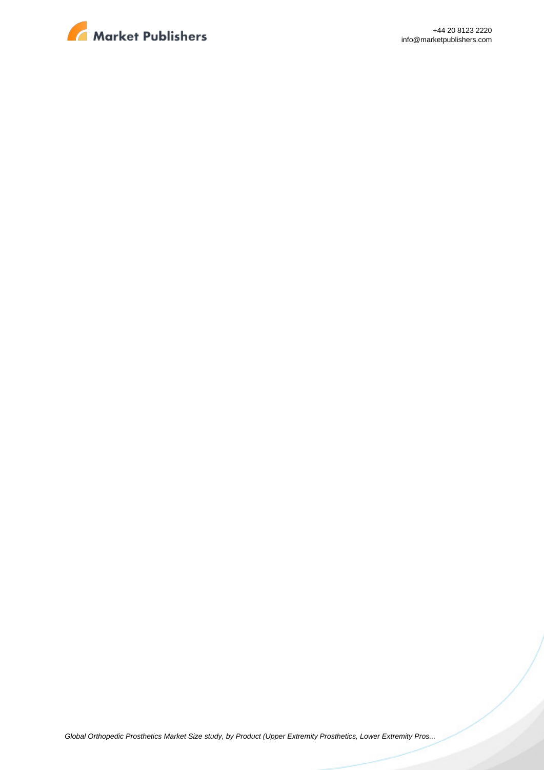

[Global Orthopedic Prosthetics Market Size study, by Product \(Upper Extremity Prosthetics, Lower Extremity Pros...](https://marketpublishers.com/report/medical_devices/orthopedic/global-orthopedic-prosthetics-market-forecasts-2020-2027.html)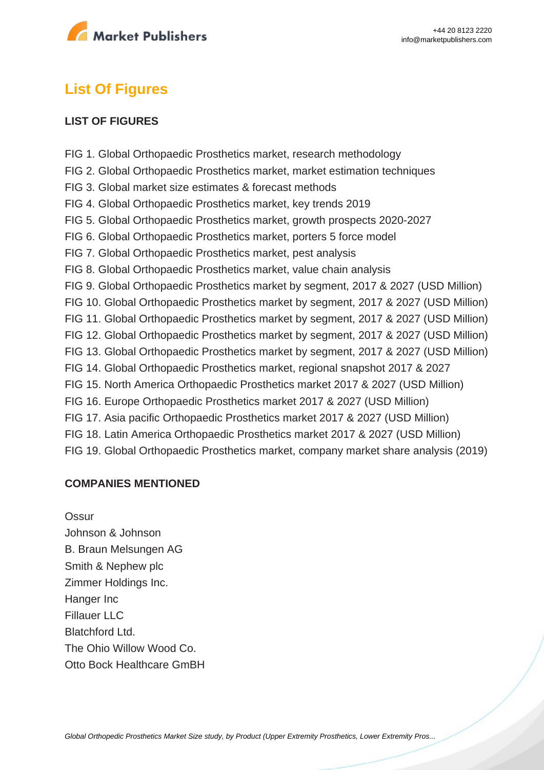

# **List Of Figures**

#### **LIST OF FIGURES**

FIG 1. Global Orthopaedic Prosthetics market, research methodology FIG 2. Global Orthopaedic Prosthetics market, market estimation techniques FIG 3. Global market size estimates & forecast methods FIG 4. Global Orthopaedic Prosthetics market, key trends 2019 FIG 5. Global Orthopaedic Prosthetics market, growth prospects 2020-2027 FIG 6. Global Orthopaedic Prosthetics market, porters 5 force model FIG 7. Global Orthopaedic Prosthetics market, pest analysis FIG 8. Global Orthopaedic Prosthetics market, value chain analysis FIG 9. Global Orthopaedic Prosthetics market by segment, 2017 & 2027 (USD Million) FIG 10. Global Orthopaedic Prosthetics market by segment, 2017 & 2027 (USD Million) FIG 11. Global Orthopaedic Prosthetics market by segment, 2017 & 2027 (USD Million) FIG 12. Global Orthopaedic Prosthetics market by segment, 2017 & 2027 (USD Million) FIG 13. Global Orthopaedic Prosthetics market by segment, 2017 & 2027 (USD Million) FIG 14. Global Orthopaedic Prosthetics market, regional snapshot 2017 & 2027 FIG 15. North America Orthopaedic Prosthetics market 2017 & 2027 (USD Million) FIG 16. Europe Orthopaedic Prosthetics market 2017 & 2027 (USD Million) FIG 17. Asia pacific Orthopaedic Prosthetics market 2017 & 2027 (USD Million) FIG 18. Latin America Orthopaedic Prosthetics market 2017 & 2027 (USD Million) FIG 19. Global Orthopaedic Prosthetics market, company market share analysis (2019)

#### **COMPANIES MENTIONED**

**Ossur** Johnson & Johnson B. Braun Melsungen AG Smith & Nephew plc Zimmer Holdings Inc. Hanger Inc Fillauer LLC Blatchford Ltd. The Ohio Willow Wood Co. Otto Bock Healthcare GmBH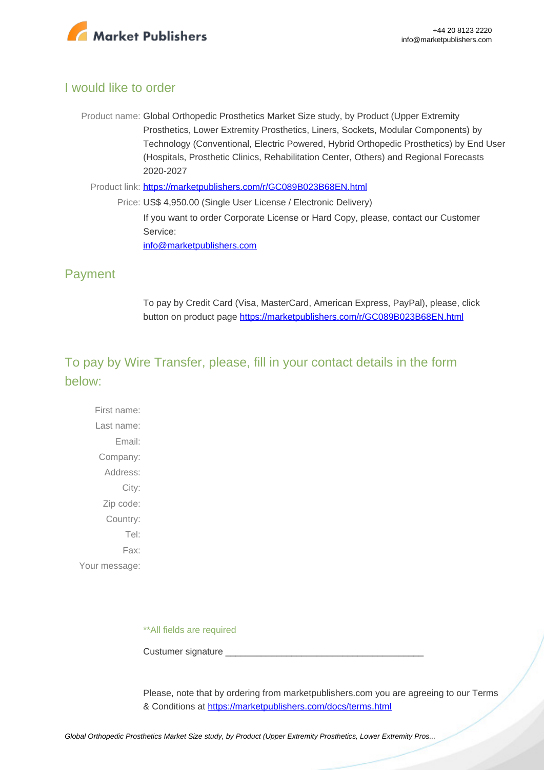

## I would like to order

Product name: Global Orthopedic Prosthetics Market Size study, by Product (Upper Extremity Prosthetics, Lower Extremity Prosthetics, Liners, Sockets, Modular Components) by Technology (Conventional, Electric Powered, Hybrid Orthopedic Prosthetics) by End User (Hospitals, Prosthetic Clinics, Rehabilitation Center, Others) and Regional Forecasts 2020-2027

Product link: [https://marketpublishers.com/r/GC089B023B68EN.html](https://marketpublishers.com/report/medical_devices/orthopedic/global-orthopedic-prosthetics-market-forecasts-2020-2027.html)

Price: US\$ 4,950.00 (Single User License / Electronic Delivery) If you want to order Corporate License or Hard Copy, please, contact our Customer Service: [info@marketpublishers.com](mailto:info@marketpublishers.com)

# Payment

To pay by Credit Card (Visa, MasterCard, American Express, PayPal), please, click button on product page [https://marketpublishers.com/r/GC089B023B68EN.html](https://marketpublishers.com/report/medical_devices/orthopedic/global-orthopedic-prosthetics-market-forecasts-2020-2027.html)

# To pay by Wire Transfer, please, fill in your contact details in the form below:

First name: Last name: Email: Company: Address: City: Zip code: Country: Tel: Fax: Your message:

\*\*All fields are required

Custumer signature \_\_\_\_\_\_\_\_\_\_\_\_\_\_\_\_\_\_\_\_\_\_\_\_\_\_\_\_\_\_\_\_\_\_\_\_\_\_\_

Please, note that by ordering from marketpublishers.com you are agreeing to our Terms & Conditions at<https://marketpublishers.com/docs/terms.html>